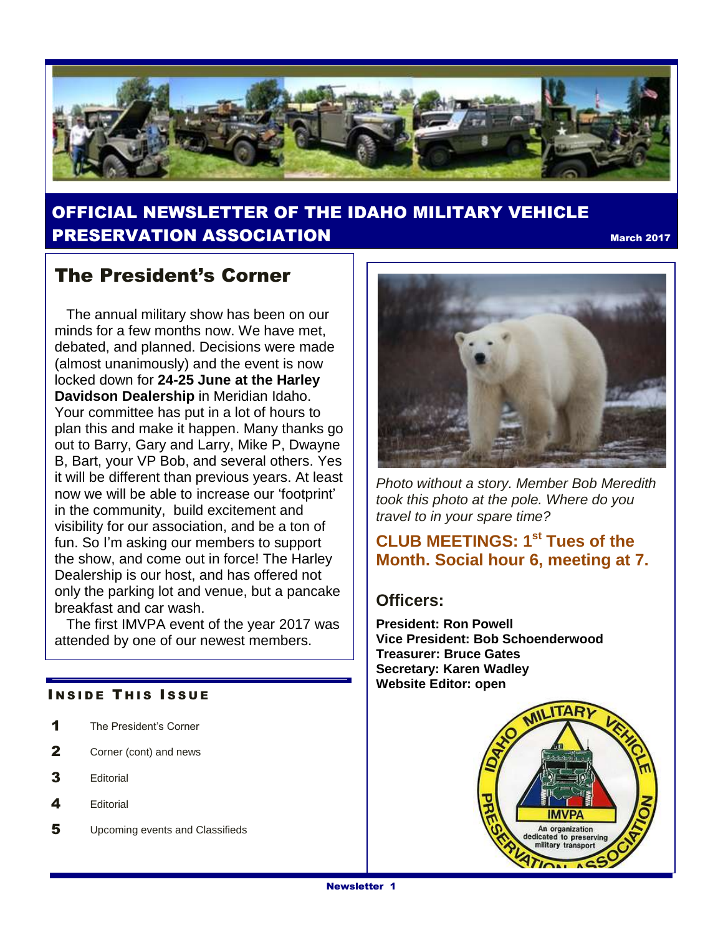

#### OFFICIAL NEWSLETTER OF THE IDAHO MILITARY VEHICLE **PRESERVATION ASSOCIATION** MARCH 2017

### The President's Corner

 The annual military show has been on our minds for a few months now. We have met. debated, and planned. Decisions were made (almost unanimously) and the event is now locked down for **24-25 June at the Harley Davidson Dealership** in Meridian Idaho. Your committee has put in a lot of hours to plan this and make it happen. Many thanks go out to Barry, Gary and Larry, Mike P, Dwayne B, Bart, your VP Bob, and several others. Yes it will be different than previous years. At least now we will be able to increase our 'footprint' in the community, build excitement and visibility for our association, and be a ton of fun. So I'm asking our members to support the show, and come out in force! The Harley Dealership is our host, and has offered not only the parking lot and venue, but a pancake breakfast and car wash.

 The first IMVPA event of the year 2017 was attended by one of our newest members.

#### **INSIDE THIS ISSUE**

- 1 The President's Corner
- 2 Corner (cont) and news
- 3 Editorial
- 4 Editorial
- 5 Upcoming events and Classifieds



*Photo without a story. Member Bob Meredith took this photo at the pole. Where do you travel to in your spare time?*

#### **CLUB MEETINGS: 1st Tues of the Month. Social hour 6, meeting at 7.**

#### **Officers:**

**President: Ron Powell Vice President: Bob Schoenderwood Treasurer: Bruce Gates Secretary: Karen Wadley Website Editor: open**

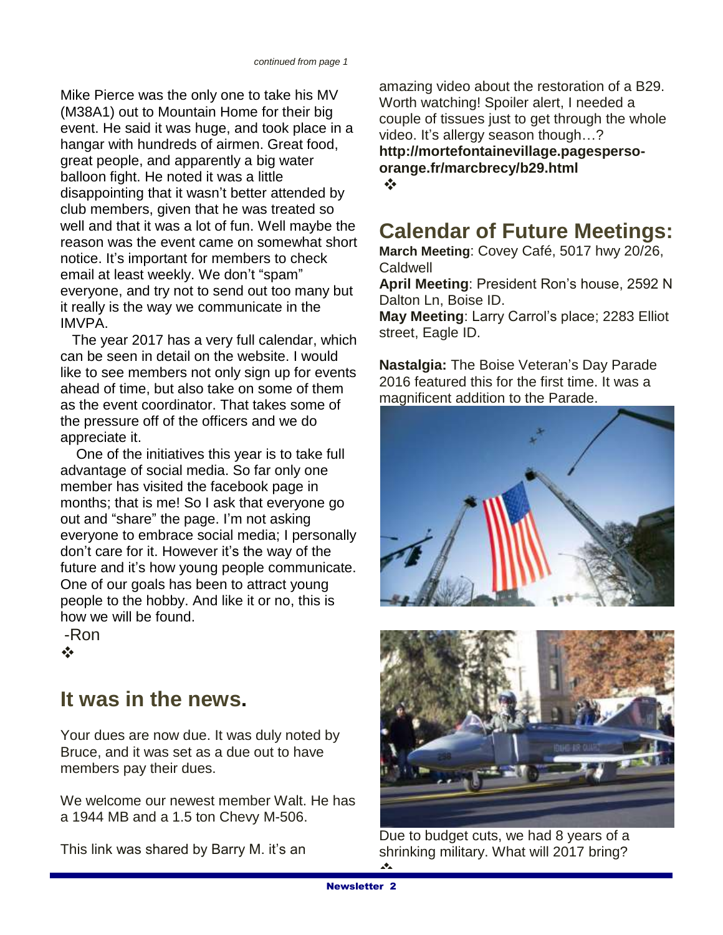Mike Pierce was the only one to take his MV (M38A1) out to Mountain Home for their big event. He said it was huge, and took place in a hangar with hundreds of airmen. Great food, great people, and apparently a big water balloon fight. He noted it was a little disappointing that it wasn't better attended by club members, given that he was treated so well and that it was a lot of fun. Well maybe the reason was the event came on somewhat short notice. It's important for members to check email at least weekly. We don't "spam" everyone, and try not to send out too many but it really is the way we communicate in the IMVPA.

 The year 2017 has a very full calendar, which can be seen in detail on the website. I would like to see members not only sign up for events ahead of time, but also take on some of them as the event coordinator. That takes some of the pressure off of the officers and we do appreciate it.

 One of the initiatives this year is to take full advantage of social media. So far only one member has visited the facebook page in months; that is me! So I ask that everyone go out and "share" the page. I'm not asking everyone to embrace social media; I personally don't care for it. However it's the way of the future and it's how young people communicate. One of our goals has been to attract young people to the hobby. And like it or no, this is how we will be found.

-Ron  $\frac{1}{2}$ 

## **It was in the news.**

Your dues are now due. It was duly noted by Bruce, and it was set as a due out to have members pay their dues.

We welcome our newest member Walt. He has a 1944 MB and a 1.5 ton Chevy M-506.

This link was shared by Barry M. it's an

amazing video about the restoration of a B29. Worth watching! Spoiler alert, I needed a couple of tissues just to get through the whole video. It's allergy season though…?

**http://mortefontainevillage.pagespersoorange.fr/marcbrecy/b29.html**  $\frac{1}{2}$ 

## **Calendar of Future Meetings:**

**March Meeting**: Covey Café, 5017 hwy 20/26, Caldwell

**April Meeting**: President Ron's house, 2592 N Dalton Ln, Boise ID.

**May Meeting**: Larry Carrol's place; 2283 Elliot street, Eagle ID.

**Nastalgia:** The Boise Veteran's Day Parade 2016 featured this for the first time. It was a magnificent addition to the Parade.





Due to budget cuts, we had 8 years of a shrinking military. What will 2017 bring?  $\bullet$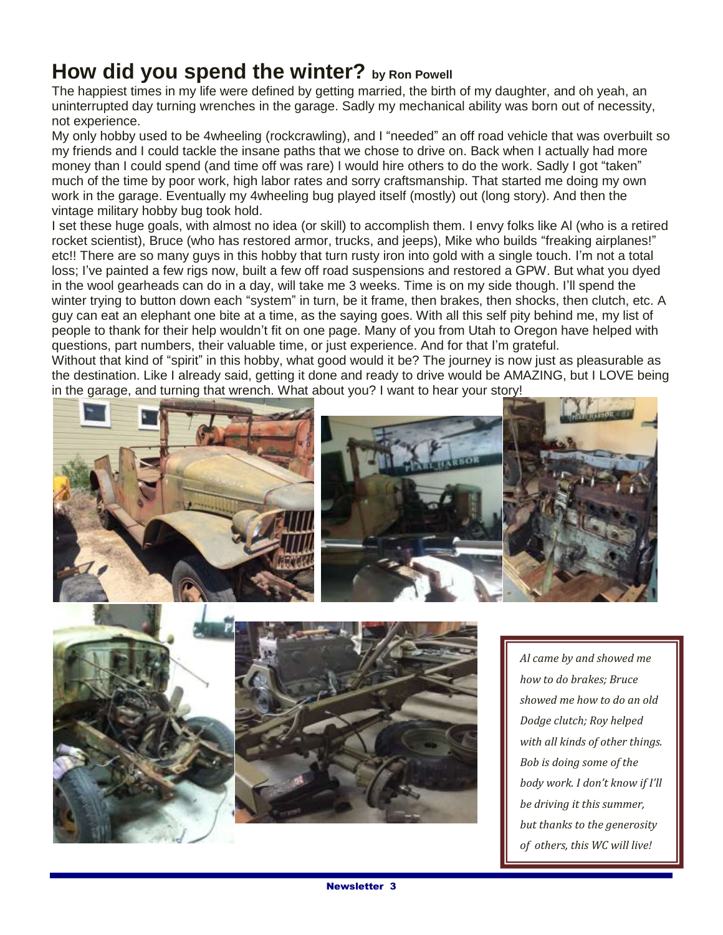## **How did you spend the winter? by Ron Powell**

The happiest times in my life were defined by getting married, the birth of my daughter, and oh yeah, an uninterrupted day turning wrenches in the garage. Sadly my mechanical ability was born out of necessity, not experience.

My only hobby used to be 4wheeling (rockcrawling), and I "needed" an off road vehicle that was overbuilt so my friends and I could tackle the insane paths that we chose to drive on. Back when I actually had more money than I could spend (and time off was rare) I would hire others to do the work. Sadly I got "taken" much of the time by poor work, high labor rates and sorry craftsmanship. That started me doing my own work in the garage. Eventually my 4wheeling bug played itself (mostly) out (long story). And then the vintage military hobby bug took hold.

I set these huge goals, with almost no idea (or skill) to accomplish them. I envy folks like Al (who is a retired rocket scientist), Bruce (who has restored armor, trucks, and jeeps), Mike who builds "freaking airplanes!" etc!! There are so many guys in this hobby that turn rusty iron into gold with a single touch. I'm not a total loss; I've painted a few rigs now, built a few off road suspensions and restored a GPW. But what you dyed in the wool gearheads can do in a day, will take me 3 weeks. Time is on my side though. I'll spend the winter trying to button down each "system" in turn, be it frame, then brakes, then shocks, then clutch, etc. A guy can eat an elephant one bite at a time, as the saying goes. With all this self pity behind me, my list of people to thank for their help wouldn't fit on one page. Many of you from Utah to Oregon have helped with questions, part numbers, their valuable time, or just experience. And for that I'm grateful.

Without that kind of "spirit" in this hobby, what good would it be? The journey is now just as pleasurable as the destination. Like I already said, getting it done and ready to drive would be AMAZING, but I LOVE being in the garage, and turning that wrench. What about you? I want to hear your story!





*Al came by and showed me how to do brakes; Bruce showed me how to do an old Dodge clutch; Roy helped with all kinds of other things. Bob is doing some of the body work. I don't know if I'll be driving it this summer, but thanks to the generosity of others, this WC will live!*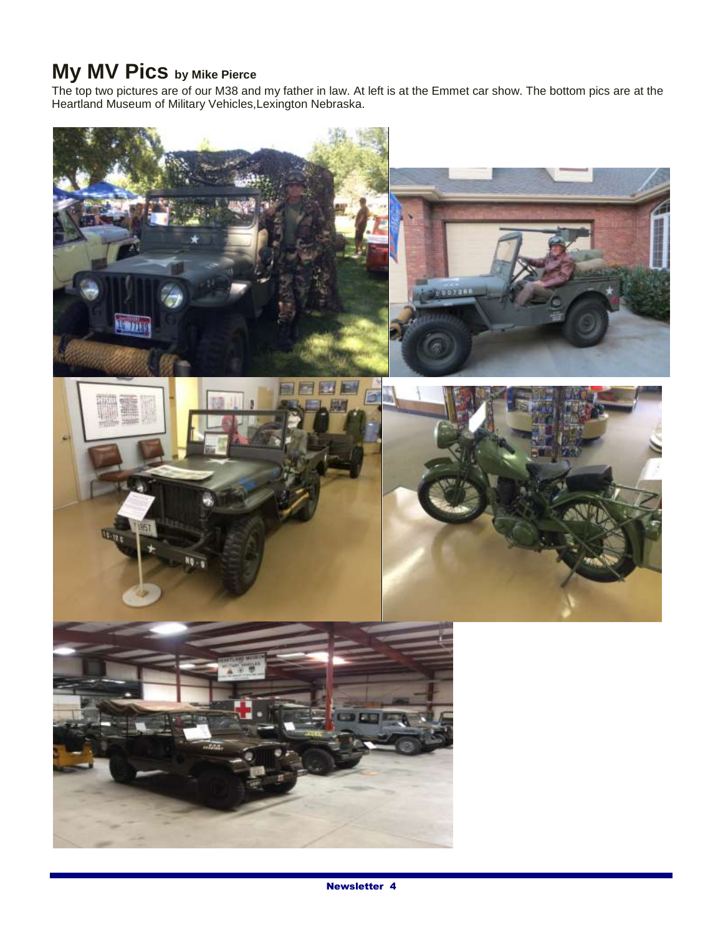# **My MV Pics by Mike Pierce**

The top two pictures are of our M38 and my father in law. At left is at the Emmet car show. The bottom pics are at the Heartland Museum of Military Vehicles,Lexington Nebraska.